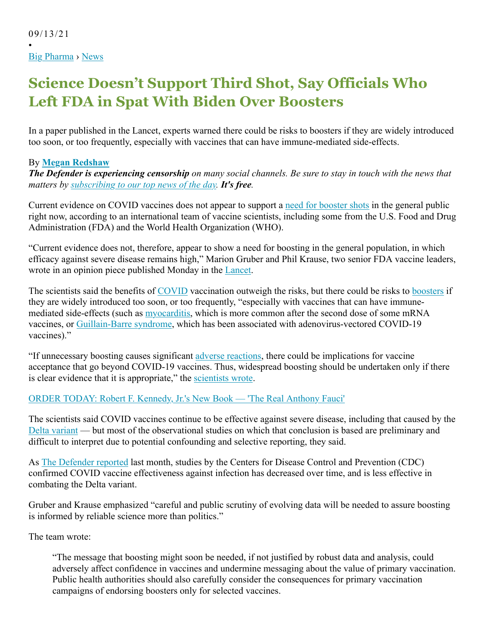•

## **Science Doesn't Support Third Shot, Say Officials Who Left FDA in Spat With Biden Over Boosters**

In a paper published in the Lancet, experts warned there could be risks to boosters if they are widely introduced too soon, or too frequently, especially with vaccines that can have immune-mediated side-effects.

## By **Megan Redshaw**

*The Defender is experiencing censorship on many social channels. Be sure to stay in touch with the news that matters by subscribing to our top news of the day. It's free.*

Current evidence on COVID vaccines does not appear to support a need for booster shots in the general public right now, according to an international team of vaccine scientists, including some from the U.S. Food and Drug Administration (FDA) and the World Health Organization (WHO).

"Current evidence does not, therefore, appear to show a need for boosting in the general population, in which efficacy against severe disease remains high," Marion Gruber and Phil Krause, two senior FDA vaccine leaders, wrote in an opinion piece published Monday in the Lancet.

The scientists said the benefits of COVID vaccination outweigh the risks, but there could be risks to boosters if they are widely introduced too soon, or too frequently, "especially with vaccines that can have immunemediated side-effects (such as myocarditis, which is more common after the second dose of some mRNA vaccines, or Guillain-Barre syndrome, which has been associated with adenovirus-vectored COVID-19 vaccines)."

"If unnecessary boosting causes significant adverse reactions, there could be implications for vaccine acceptance that go beyond COVID-19 vaccines. Thus, widespread boosting should be undertaken only if there is clear evidence that it is appropriate," the scientists wrote.

## ORDER TODAY: Robert F. Kennedy, Jr.'s New Book — 'The Real Anthony Fauci'

The scientists said COVID vaccines continue to be effective against severe disease, including that caused by the Delta variant — but most of the observational studies on which that conclusion is based are preliminary and difficult to interpret due to potential confounding and selective reporting, they said.

As The Defender reported last month, studies by the Centers for Disease Control and Prevention (CDC) confirmed COVID vaccine effectiveness against infection has decreased over time, and is less effective in combating the Delta variant.

Gruber and Krause emphasized "careful and public scrutiny of evolving data will be needed to assure boosting is informed by reliable science more than politics."

The team wrote:

"The message that boosting might soon be needed, if not justified by robust data and analysis, could adversely affect confidence in vaccines and undermine messaging about the value of primary vaccination. Public health authorities should also carefully consider the consequences for primary vaccination campaigns of endorsing boosters only for selected vaccines.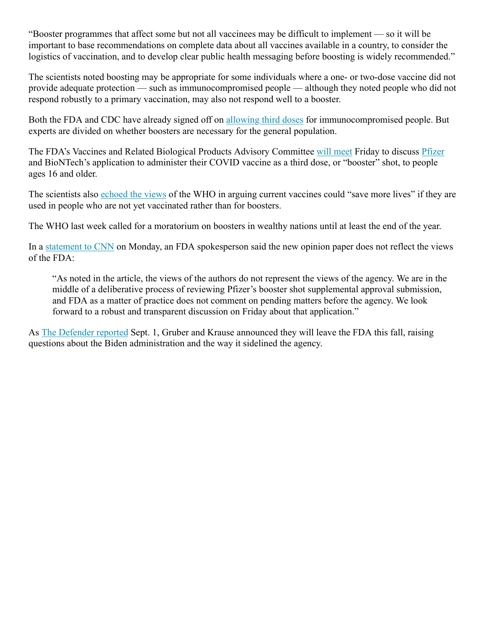"Booster programmes that affect some but not all vaccinees may be difficult to implement — so it will be important to base recommendations on complete data about all vaccines available in a country, to consider the logistics of vaccination, and to develop clear public health messaging before boosting is widely recommended."

The scientists noted boosting may be appropriate for some individuals where a one- or two-dose vaccine did not provide adequate protection — such as immunocompromised people — although they noted people who did not respond robustly to a primary vaccination, may also not respond well to a booster.

Both the FDA and CDC have already signed off on allowing third doses for immunocompromised people. But experts are divided on whether boosters are necessary for the general population.

The FDA's Vaccines and Related Biological Products Advisory Committee will meet Friday to discuss Pfizer and BioNTech's application to administer their COVID vaccine as a third dose, or "booster" shot, to people ages 16 and older.

The scientists also echoed the views of the WHO in arguing current vaccines could "save more lives" if they are used in people who are not yet vaccinated rather than for boosters.

The WHO last week called for a moratorium on boosters in wealthy nations until at least the end of the year.

In a statement to CNN on Monday, an FDA spokesperson said the new opinion paper does not reflect the views of the FDA:

"As noted in the article, the views of the authors do not represent the views of the agency. We are in the middle of a deliberative process of reviewing Pfizer's booster shot supplemental approval submission, and FDA as a matter of practice does not comment on pending matters before the agency. We look forward to a robust and transparent discussion on Friday about that application."

As The Defender reported Sept. 1, Gruber and Krause announced they will leave the FDA this fall, raising questions about the Biden administration and the way it sidelined the agency.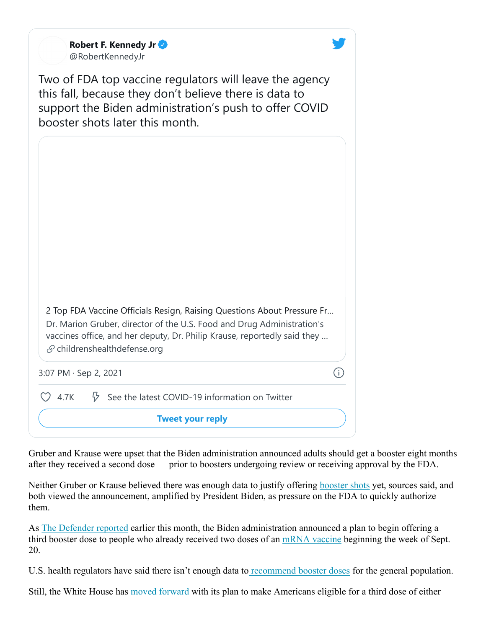|                       | <b>Tweet your reply</b>                                                                                                                                                                                                                                                   |
|-----------------------|---------------------------------------------------------------------------------------------------------------------------------------------------------------------------------------------------------------------------------------------------------------------------|
| 24.7K                 | $\frac{1}{V}$ See the latest COVID-19 information on Twitter                                                                                                                                                                                                              |
| 3:07 PM · Sep 2, 2021 | $\left(\begin{matrix} 1\\ 1\end{matrix}\right)$                                                                                                                                                                                                                           |
|                       | 2 Top FDA Vaccine Officials Resign, Raising Questions About Pressure Fr<br>Dr. Marion Gruber, director of the U.S. Food and Drug Administration's<br>vaccines office, and her deputy, Dr. Philip Krause, reportedly said they<br>$\mathcal{S}$ childrenshealthdefense.org |
|                       |                                                                                                                                                                                                                                                                           |
|                       | Two of FDA top vaccine regulators will leave the agency<br>this fall, because they don't believe there is data to<br>support the Biden administration's push to offer COVID<br>booster shots later this month.                                                            |
|                       | Robert F. Kennedy Jr<br>@RobertKennedyJr                                                                                                                                                                                                                                  |

Gruber and Krause were upset that the Biden administration announced adults should get a booster eight months after they received a second dose — prior to boosters undergoing review or receiving approval by the FDA.

Neither Gruber or Krause believed there was enough data to justify offering booster shots yet, sources said, and both viewed the announcement, amplified by President Biden, as pressure on the FDA to quickly authorize them.

As The Defender reported earlier this month, the Biden administration announced a plan to begin offering a third booster dose to people who already received two doses of an mRNA vaccine beginning the week of Sept. 20.

U.S. health regulators have said there isn't enough data to recommend booster doses for the general population.

Still, the White House has moved forward with its plan to make Americans eligible for a third dose of either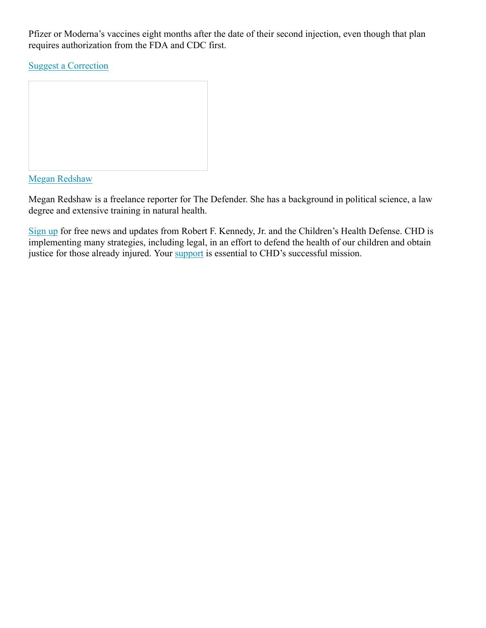Pfizer or Moderna's vaccines eight months after the date of their second injection, even though that plan requires authorization from the FDA and CDC first.

Suggest a Correction



Megan Redshaw

Megan Redshaw is a freelance reporter for The Defender. She has a background in political science, a law degree and extensive training in natural health.

Sign up for free news and updates from Robert F. Kennedy, Jr. and the Children's Health Defense. CHD is implementing many strategies, including legal, in an effort to defend the health of our children and obtain justice for those already injured. Your support is essential to CHD's successful mission.